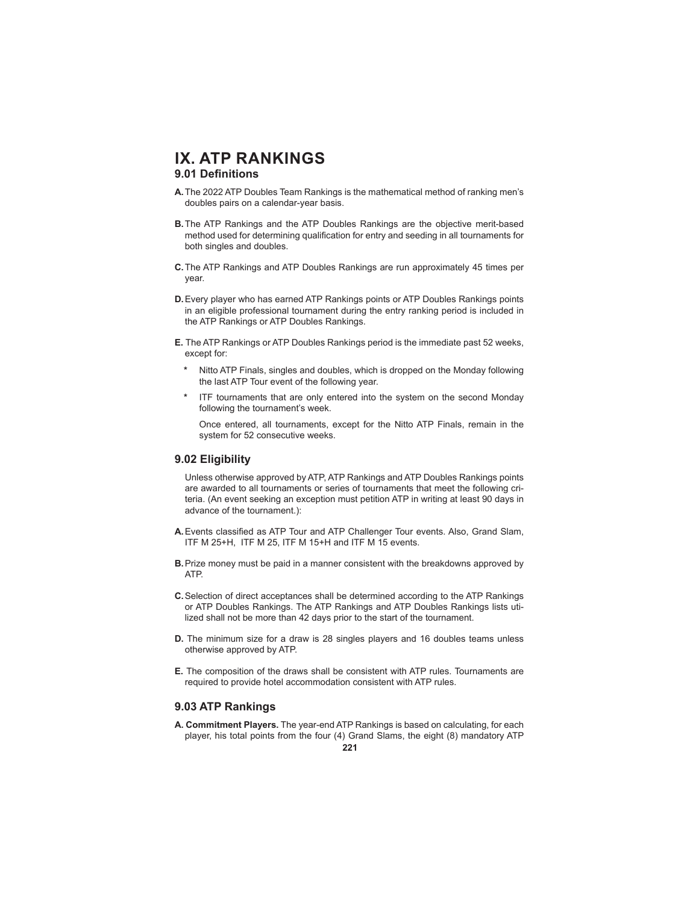### **9.01 Definitions**

- **A.** The 2022 ATP Doubles Team Rankings is the mathematical method of ranking men's doubles pairs on a calendar-year basis.
- **B.** The ATP Rankings and the ATP Doubles Rankings are the objective merit-based method used for determining qualification for entry and seeding in all tournaments for both singles and doubles.
- **C.** The ATP Rankings and ATP Doubles Rankings are run approximately 45 times per year.
- **D.** Every player who has earned ATP Rankings points or ATP Doubles Rankings points in an eligible professional tournament during the entry ranking period is included in the ATP Rankings or ATP Doubles Rankings.
- **E.** The ATP Rankings or ATP Doubles Rankings period is the immediate past 52 weeks, except for:
	- **\*** Nitto ATP Finals, singles and doubles, which is dropped on the Monday following the last ATP Tour event of the following year.
	- **\*** ITF tournaments that are only entered into the system on the second Monday following the tournament's week.

 Once entered, all tournaments, except for the Nitto ATP Finals, remain in the system for 52 consecutive weeks.

#### **9.02 Eligibility**

 Unless otherwise approved by ATP, ATP Rankings and ATP Doubles Rankings points are awarded to all tournaments or series of tournaments that meet the following criteria. (An event seeking an exception must petition ATP in writing at least 90 days in advance of the tournament.):

- A. Events classified as ATP Tour and ATP Challenger Tour events. Also, Grand Slam, ITF M 25+H, ITF M 25, ITF M 15+H and ITF M 15 events.
- **B.** Prize money must be paid in a manner consistent with the breakdowns approved by ATP.
- **C.** Selection of direct acceptances shall be determined according to the ATP Rankings or ATP Doubles Rankings. The ATP Rankings and ATP Doubles Rankings lists utilized shall not be more than 42 days prior to the start of the tournament.
- **D.** The minimum size for a draw is 28 singles players and 16 doubles teams unless otherwise approved by ATP.
- **E.** The composition of the draws shall be consistent with ATP rules. Tournaments are required to provide hotel accommodation consistent with ATP rules.

#### **9.03 ATP Rankings**

**A. Commitment Players.** The year-end ATP Rankings is based on calculating, for each player, his total points from the four (4) Grand Slams, the eight (8) mandatory ATP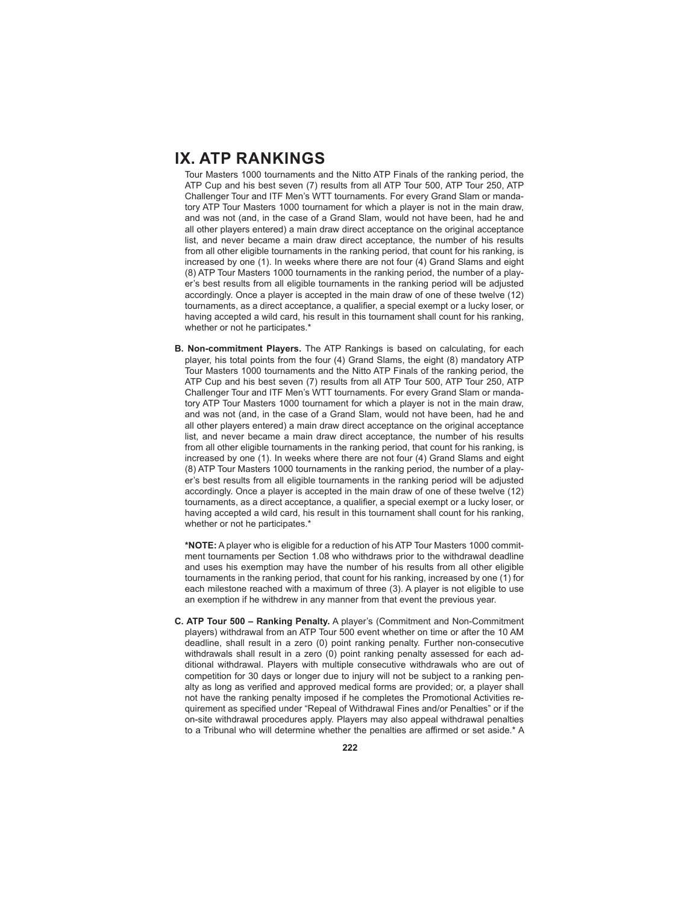Tour Masters 1000 tournaments and the Nitto ATP Finals of the ranking period, the ATP Cup and his best seven (7) results from all ATP Tour 500, ATP Tour 250, ATP Challenger Tour and ITF Men's WTT tournaments. For every Grand Slam or mandatory ATP Tour Masters 1000 tournament for which a player is not in the main draw, and was not (and, in the case of a Grand Slam, would not have been, had he and all other players entered) a main draw direct acceptance on the original acceptance list, and never became a main draw direct acceptance, the number of his results from all other eligible tournaments in the ranking period, that count for his ranking, is increased by one (1). In weeks where there are not four (4) Grand Slams and eight (8) ATP Tour Masters 1000 tournaments in the ranking period, the number of a player's best results from all eligible tournaments in the ranking period will be adjusted accordingly. Once a player is accepted in the main draw of one of these twelve (12) tournaments, as a direct acceptance, a qualifier, a special exempt or a lucky loser, or having accepted a wild card, his result in this tournament shall count for his ranking, whether or not he participates.\*

**B. Non-commitment Players.** The ATP Rankings is based on calculating, for each player, his total points from the four (4) Grand Slams, the eight (8) mandatory ATP Tour Masters 1000 tournaments and the Nitto ATP Finals of the ranking period, the ATP Cup and his best seven (7) results from all ATP Tour 500, ATP Tour 250, ATP Challenger Tour and ITF Men's WTT tournaments. For every Grand Slam or mandatory ATP Tour Masters 1000 tournament for which a player is not in the main draw, and was not (and, in the case of a Grand Slam, would not have been, had he and all other players entered) a main draw direct acceptance on the original acceptance list, and never became a main draw direct acceptance, the number of his results from all other eligible tournaments in the ranking period, that count for his ranking, is increased by one (1). In weeks where there are not four (4) Grand Slams and eight (8) ATP Tour Masters 1000 tournaments in the ranking period, the number of a player's best results from all eligible tournaments in the ranking period will be adjusted accordingly. Once a player is accepted in the main draw of one of these twelve (12) tournaments, as a direct acceptance, a qualifier, a special exempt or a lucky loser, or having accepted a wild card, his result in this tournament shall count for his ranking, whether or not he participates.\*

**\*NOTE:** A player who is eligible for a reduction of his ATP Tour Masters 1000 commitment tournaments per Section 1.08 who withdraws prior to the withdrawal deadline and uses his exemption may have the number of his results from all other eligible tournaments in the ranking period, that count for his ranking, increased by one (1) for each milestone reached with a maximum of three (3). A player is not eligible to use an exemption if he withdrew in any manner from that event the previous year.

**C. ATP Tour 500 – Ranking Penalty.** A player's (Commitment and Non-Commitment players) withdrawal from an ATP Tour 500 event whether on time or after the 10 AM deadline, shall result in a zero (0) point ranking penalty. Further non-consecutive withdrawals shall result in a zero (0) point ranking penalty assessed for each additional withdrawal. Players with multiple consecutive withdrawals who are out of competition for 30 days or longer due to injury will not be subject to a ranking penalty as long as verified and approved medical forms are provided; or, a player shall not have the ranking penalty imposed if he completes the Promotional Activities requirement as specified under "Repeal of Withdrawal Fines and/or Penalties" or if the on-site withdrawal procedures apply. Players may also appeal withdrawal penalties to a Tribunal who will determine whether the penalties are affirmed or set aside.\* A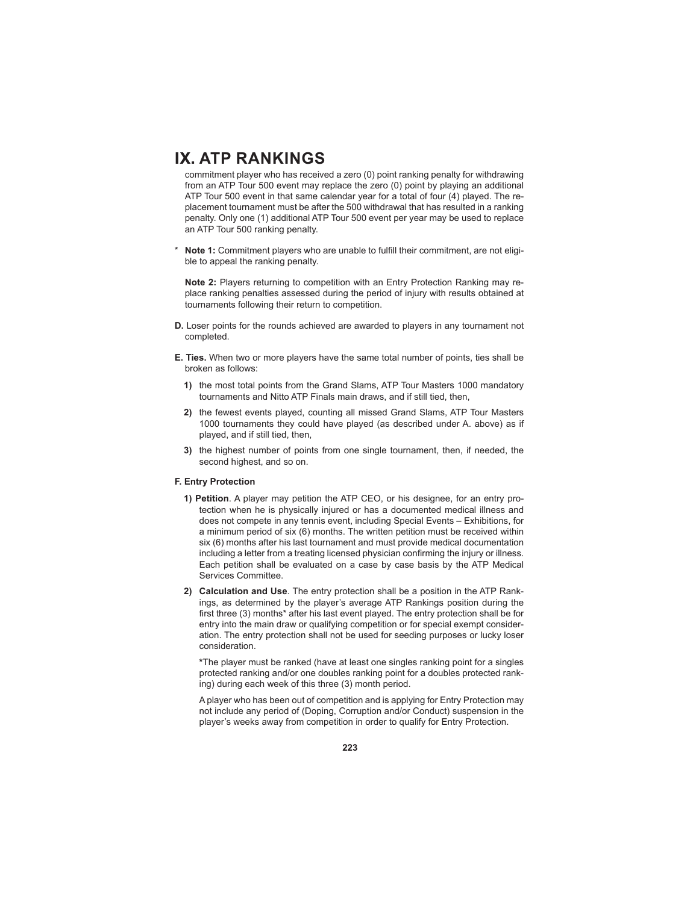commitment player who has received a zero (0) point ranking penalty for withdrawing from an ATP Tour 500 event may replace the zero (0) point by playing an additional ATP Tour 500 event in that same calendar year for a total of four (4) played. The replacement tournament must be after the 500 withdrawal that has resulted in a ranking penalty. Only one (1) additional ATP Tour 500 event per year may be used to replace an ATP Tour 500 ranking penalty.

Note 1: Commitment players who are unable to fulfill their commitment, are not eligible to appeal the ranking penalty.

**Note 2:** Players returning to competition with an Entry Protection Ranking may replace ranking penalties assessed during the period of injury with results obtained at tournaments following their return to competition.

- **D.** Loser points for the rounds achieved are awarded to players in any tournament not completed.
- **E. Ties.** When two or more players have the same total number of points, ties shall be broken as follows:
	- **1)** the most total points from the Grand Slams, ATP Tour Masters 1000 mandatory tournaments and Nitto ATP Finals main draws, and if still tied, then,
	- **2)** the fewest events played, counting all missed Grand Slams, ATP Tour Masters 1000 tournaments they could have played (as described under A. above) as if played, and if still tied, then,
	- **3)** the highest number of points from one single tournament, then, if needed, the second highest, and so on.

#### **F. Entry Protection**

- **1) Petition**. A player may petition the ATP CEO, or his designee, for an entry protection when he is physically injured or has a documented medical illness and does not compete in any tennis event, including Special Events – Exhibitions, for a minimum period of six (6) months. The written petition must be received within six (6) months after his last tournament and must provide medical documentation including a letter from a treating licensed physician confirming the injury or illness. Each petition shall be evaluated on a case by case basis by the ATP Medical Services Committee.
- **2) Calculation and Use**. The entry protection shall be a position in the ATP Rankings, as determined by the player's average ATP Rankings position during the first three (3) months\* after his last event played. The entry protection shall be for entry into the main draw or qualifying competition or for special exempt consideration. The entry protection shall not be used for seeding purposes or lucky loser consideration.

**\***The player must be ranked (have at least one singles ranking point for a singles protected ranking and/or one doubles ranking point for a doubles protected ranking) during each week of this three (3) month period.

 A player who has been out of competition and is applying for Entry Protection may not include any period of (Doping, Corruption and/or Conduct) suspension in the player's weeks away from competition in order to qualify for Entry Protection.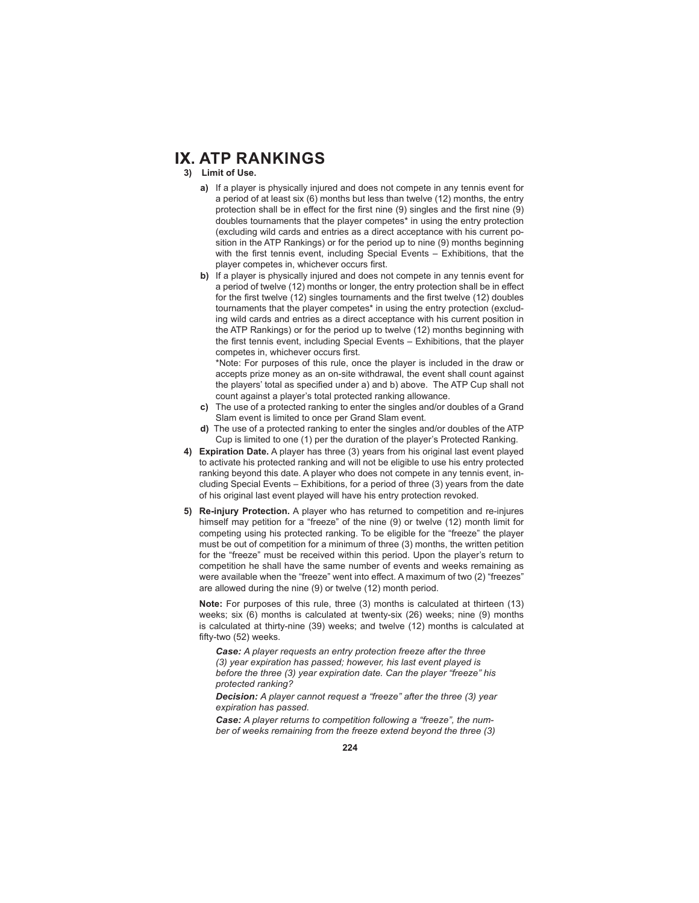- **3) Limit of Use.**
	- **a)** If a player is physically injured and does not compete in any tennis event for a period of at least six (6) months but less than twelve (12) months, the entry protection shall be in effect for the first nine  $(9)$  singles and the first nine  $(9)$ doubles tournaments that the player competes\* in using the entry protection (excluding wild cards and entries as a direct acceptance with his current position in the ATP Rankings) or for the period up to nine (9) months beginning with the first tennis event, including Special Events  $-$  Exhibitions, that the player competes in, whichever occurs first.
	- **b)** If a player is physically injured and does not compete in any tennis event for a period of twelve (12) months or longer, the entry protection shall be in effect for the first twelve (12) singles tournaments and the first twelve (12) doubles tournaments that the player competes\* in using the entry protection (excluding wild cards and entries as a direct acceptance with his current position in the ATP Rankings) or for the period up to twelve (12) months beginning with the first tennis event, including Special Events – Exhibitions, that the player competes in, whichever occurs first.

 \*Note: For purposes of this rule, once the player is included in the draw or accepts prize money as an on-site withdrawal, the event shall count against the players' total as specified under a) and b) above. The ATP Cup shall not count against a player's total protected ranking allowance.

- **c)** The use of a protected ranking to enter the singles and/or doubles of a Grand Slam event is limited to once per Grand Slam event.
- **d)** The use of a protected ranking to enter the singles and/or doubles of the ATP Cup is limited to one (1) per the duration of the player's Protected Ranking.
- **4) Expiration Date.** A player has three (3) years from his original last event played to activate his protected ranking and will not be eligible to use his entry protected ranking beyond this date. A player who does not compete in any tennis event, including Special Events – Exhibitions, for a period of three (3) years from the date of his original last event played will have his entry protection revoked.
- **5) Re-injury Protection.** A player who has returned to competition and re-injures himself may petition for a "freeze" of the nine (9) or twelve (12) month limit for competing using his protected ranking. To be eligible for the "freeze" the player must be out of competition for a minimum of three (3) months, the written petition for the "freeze" must be received within this period. Upon the player's return to competition he shall have the same number of events and weeks remaining as were available when the "freeze" went into effect. A maximum of two (2) "freezes" are allowed during the nine (9) or twelve (12) month period.

**Note:** For purposes of this rule, three (3) months is calculated at thirteen (13) weeks; six (6) months is calculated at twenty-six (26) weeks; nine (9) months is calculated at thirty-nine (39) weeks; and twelve (12) months is calculated at fifty-two (52) weeks.

*Case: A player requests an entry protection freeze after the three (3) year expiration has passed; however, his last event played is before the three (3) year expiration date. Can the player "freeze" his protected ranking?*

*Decision: A player cannot request a "freeze" after the three (3) year expiration has passed.*

*Case: A player returns to competition following a "freeze", the number of weeks remaining from the freeze extend beyond the three (3)*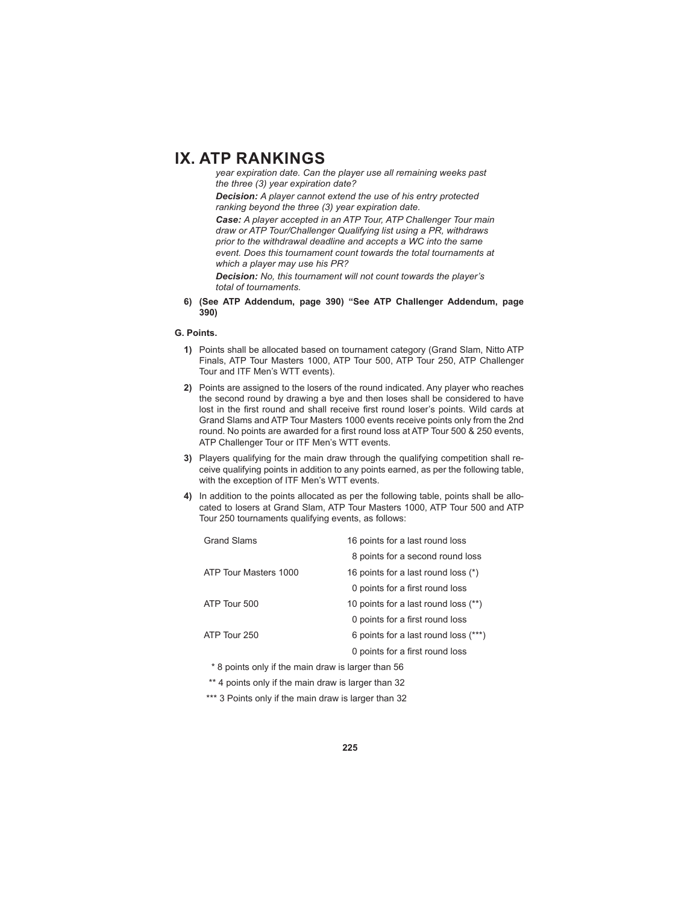*year expiration date. Can the player use all remaining weeks past the three (3) year expiration date?*

*Decision: A player cannot extend the use of his entry protected ranking beyond the three (3) year expiration date.* 

*Case: A player accepted in an ATP Tour, ATP Challenger Tour main draw or ATP Tour/Challenger Qualifying list using a PR, withdraws prior to the withdrawal deadline and accepts a WC into the same event. Does this tournament count towards the total tournaments at which a player may use his PR?*

*Decision: No, this tournament will not count towards the player's total of tournaments.*

**6) (See ATP Addendum, page 390) "See ATP Challenger Addendum, page 390)**

#### **G. Points.**

- **1)** Points shall be allocated based on tournament category (Grand Slam, Nitto ATP Finals, ATP Tour Masters 1000, ATP Tour 500, ATP Tour 250, ATP Challenger Tour and ITF Men's WTT events).
- **2)** Points are assigned to the losers of the round indicated. Any player who reaches the second round by drawing a bye and then loses shall be considered to have lost in the first round and shall receive first round loser's points. Wild cards at Grand Slams and ATP Tour Masters 1000 events receive points only from the 2nd round. No points are awarded for a first round loss at ATP Tour 500 & 250 events, ATP Challenger Tour or ITF Men's WTT events.
- **3)** Players qualifying for the main draw through the qualifying competition shall receive qualifying points in addition to any points earned, as per the following table, with the exception of ITF Men's WTT events.
- **4)** In addition to the points allocated as per the following table, points shall be allocated to losers at Grand Slam, ATP Tour Masters 1000, ATP Tour 500 and ATP Tour 250 tournaments qualifying events, as follows:

| <b>Grand Slams</b>                                 | 16 points for a last round loss      |  |  |  |  |  |  |
|----------------------------------------------------|--------------------------------------|--|--|--|--|--|--|
|                                                    | 8 points for a second round loss     |  |  |  |  |  |  |
| ATP Tour Masters 1000                              | 16 points for a last round loss (*)  |  |  |  |  |  |  |
|                                                    | 0 points for a first round loss      |  |  |  |  |  |  |
| ATP Tour 500                                       | 10 points for a last round loss (**) |  |  |  |  |  |  |
|                                                    | 0 points for a first round loss      |  |  |  |  |  |  |
| ATP Tour 250                                       | 6 points for a last round loss (***) |  |  |  |  |  |  |
|                                                    | 0 points for a first round loss      |  |  |  |  |  |  |
| * 8 points only if the main draw is larger than 56 |                                      |  |  |  |  |  |  |

\*\* 4 points only if the main draw is larger than 32

\*\*\* 3 Points only if the main draw is larger than 32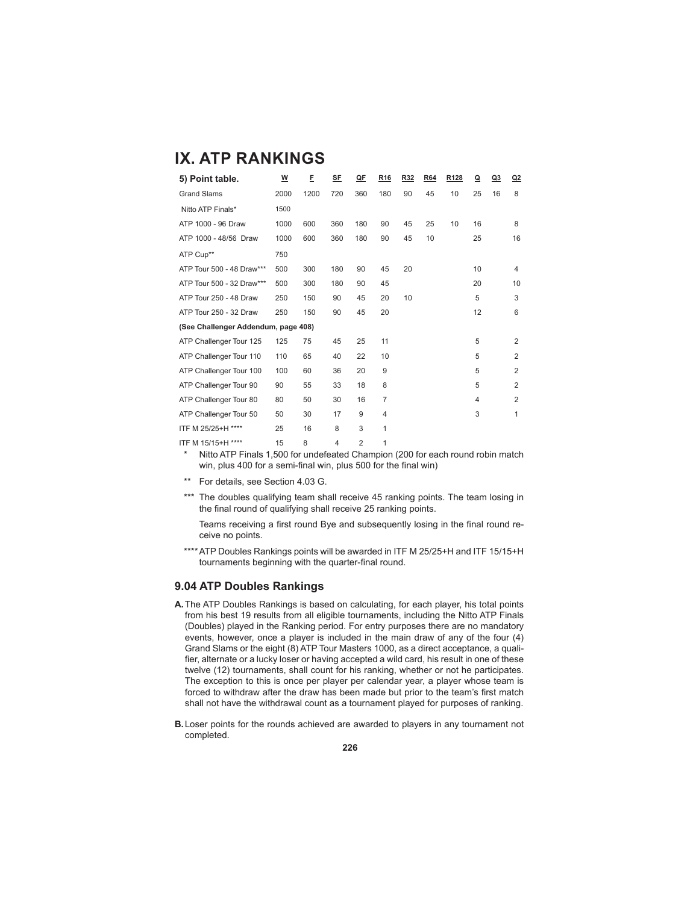| 5) Point table.                     | <u>w</u> | E    | <b>SE</b>      | QE             | R <sub>16</sub> | R32 | R64 | R <sub>128</sub> | $\mathbf{\Omega}$ | Q3 | Q2             |
|-------------------------------------|----------|------|----------------|----------------|-----------------|-----|-----|------------------|-------------------|----|----------------|
| <b>Grand Slams</b>                  | 2000     | 1200 | 720            | 360            | 180             | 90  | 45  | 10               | 25                | 16 | 8              |
| Nitto ATP Finals*                   | 1500     |      |                |                |                 |     |     |                  |                   |    |                |
| ATP 1000 - 96 Draw                  | 1000     | 600  | 360            | 180            | 90              | 45  | 25  | 10               | 16                |    | 8              |
| ATP 1000 - 48/56 Draw               | 1000     | 600  | 360            | 180            | 90              | 45  | 10  |                  | 25                |    | 16             |
| ATP Cup**                           | 750      |      |                |                |                 |     |     |                  |                   |    |                |
| ATP Tour 500 - 48 Draw***           | 500      | 300  | 180            | 90             | 45              | 20  |     |                  | 10                |    | 4              |
| ATP Tour 500 - 32 Draw***           | 500      | 300  | 180            | 90             | 45              |     |     |                  | 20                |    | 10             |
| ATP Tour 250 - 48 Draw              | 250      | 150  | 90             | 45             | 20              | 10  |     |                  | 5                 |    | 3              |
| ATP Tour 250 - 32 Draw              | 250      | 150  | 90             | 45             | 20              |     |     |                  | 12                |    | 6              |
| (See Challenger Addendum, page 408) |          |      |                |                |                 |     |     |                  |                   |    |                |
| ATP Challenger Tour 125             | 125      | 75   | 45             | 25             | 11              |     |     |                  | 5                 |    | 2              |
| ATP Challenger Tour 110             | 110      | 65   | 40             | 22             | 10              |     |     |                  | 5                 |    | 2              |
| ATP Challenger Tour 100             | 100      | 60   | 36             | 20             | 9               |     |     |                  | 5                 |    | $\overline{2}$ |
| ATP Challenger Tour 90              | 90       | 55   | 33             | 18             | 8               |     |     |                  | 5                 |    | 2              |
| ATP Challenger Tour 80              | 80       | 50   | 30             | 16             | $\overline{7}$  |     |     |                  | $\overline{4}$    |    | $\overline{2}$ |
| ATP Challenger Tour 50              | 50       | 30   | 17             | 9              | 4               |     |     |                  | 3                 |    | 1              |
| ITF M 25/25+H ****                  | 25       | 16   | 8              | 3              | 1               |     |     |                  |                   |    |                |
| ITF M 15/15+H ****                  | 15       | 8    | $\overline{4}$ | $\overline{2}$ | 1               |     |     |                  |                   |    |                |

Nitto ATP Finals 1,500 for undefeated Champion (200 for each round robin match win, plus 400 for a semi-final win, plus 500 for the final win)

\*\* For details, see Section 4.03 G.

\*\*\* The doubles qualifying team shall receive 45 ranking points. The team losing in the final round of qualifying shall receive 25 ranking points.

Teams receiving a first round Bye and subsequently losing in the final round receive no points.

\*\*\*\* ATP Doubles Rankings points will be awarded in ITF M 25/25+H and ITF 15/15+H tournaments beginning with the quarter-final round.

#### **9.04 ATP Doubles Rankings**

- **A.** The ATP Doubles Rankings is based on calculating, for each player, his total points from his best 19 results from all eligible tournaments, including the Nitto ATP Finals (Doubles) played in the Ranking period. For entry purposes there are no mandatory events, however, once a player is included in the main draw of any of the four (4) Grand Slams or the eight (8) ATP Tour Masters 1000, as a direct acceptance, a qualifier, alternate or a lucky loser or having accepted a wild card, his result in one of these twelve (12) tournaments, shall count for his ranking, whether or not he participates. The exception to this is once per player per calendar year, a player whose team is forced to withdraw after the draw has been made but prior to the team's first match shall not have the withdrawal count as a tournament played for purposes of ranking.
- **B.** Loser points for the rounds achieved are awarded to players in any tournament not completed.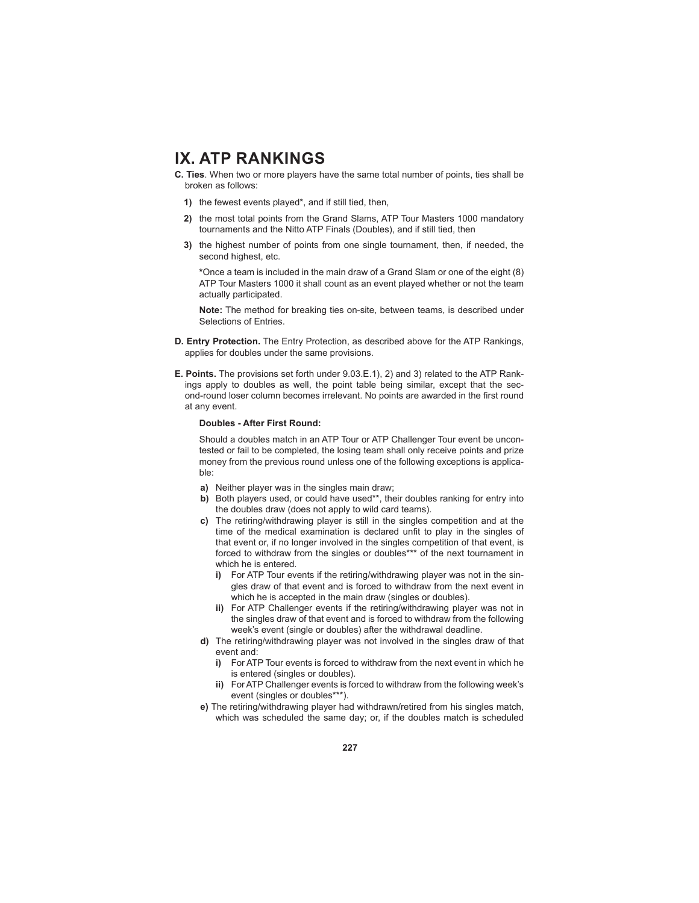- **C. Ties**. When two or more players have the same total number of points, ties shall be broken as follows:
	- **1)** the fewest events played\*, and if still tied, then,
	- **2)** the most total points from the Grand Slams, ATP Tour Masters 1000 mandatory tournaments and the Nitto ATP Finals (Doubles), and if still tied, then
	- **3)** the highest number of points from one single tournament, then, if needed, the second highest, etc.

**\***Once a team is included in the main draw of a Grand Slam or one of the eight (8) ATP Tour Masters 1000 it shall count as an event played whether or not the team actually participated.

**Note:** The method for breaking ties on-site, between teams, is described under Selections of Entries.

- **D. Entry Protection.** The Entry Protection, as described above for the ATP Rankings, applies for doubles under the same provisions.
- **E. Points.** The provisions set forth under 9.03.E.1), 2) and 3) related to the ATP Rankings apply to doubles as well, the point table being similar, except that the second-round loser column becomes irrelevant. No points are awarded in the first round at any event.

#### **Doubles - After First Round:**

Should a doubles match in an ATP Tour or ATP Challenger Tour event be uncontested or fail to be completed, the losing team shall only receive points and prize money from the previous round unless one of the following exceptions is applicable:

- **a)** Neither player was in the singles main draw;
- **b)** Both players used, or could have used\*\*, their doubles ranking for entry into the doubles draw (does not apply to wild card teams).
- **c)** The retiring/withdrawing player is still in the singles competition and at the time of the medical examination is declared unfit to play in the singles of that event or, if no longer involved in the singles competition of that event, is forced to withdraw from the singles or doubles\*\*\* of the next tournament in which he is entered.
	- **i)** For ATP Tour events if the retiring/withdrawing player was not in the singles draw of that event and is forced to withdraw from the next event in which he is accepted in the main draw (singles or doubles).
	- **ii)** For ATP Challenger events if the retiring/withdrawing player was not in the singles draw of that event and is forced to withdraw from the following week's event (single or doubles) after the withdrawal deadline.
- **d)** The retiring/withdrawing player was not involved in the singles draw of that event and:
	- **i)** For ATP Tour events is forced to withdraw from the next event in which he is entered (singles or doubles).
	- **ii)** For ATP Challenger events is forced to withdraw from the following week's event (singles or doubles\*\*\*).
- **e)** The retiring/withdrawing player had withdrawn/retired from his singles match, which was scheduled the same day; or, if the doubles match is scheduled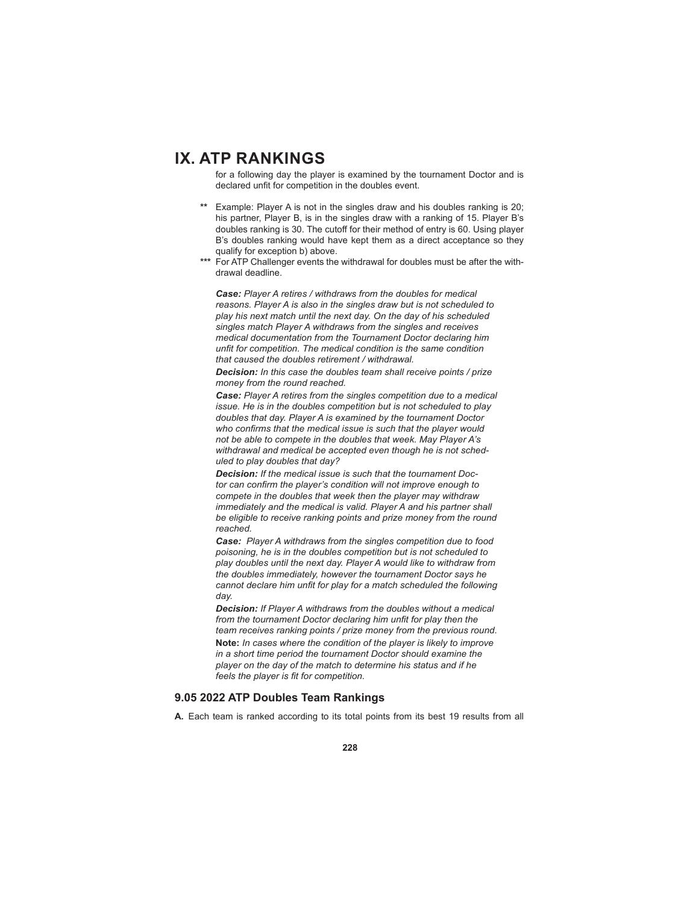for a following day the player is examined by the tournament Doctor and is declared unfit for competition in the doubles event.

- **\*\*** Example: Player A is not in the singles draw and his doubles ranking is 20; his partner, Player B, is in the singles draw with a ranking of 15. Player B's doubles ranking is 30. The cutoff for their method of entry is 60. Using player B's doubles ranking would have kept them as a direct acceptance so they qualify for exception b) above.
- **\*\*\*** For ATP Challenger events the withdrawal for doubles must be after the withdrawal deadline.

*Case: Player A retires / withdraws from the doubles for medical reasons. Player A is also in the singles draw but is not scheduled to play his next match until the next day. On the day of his scheduled singles match Player A withdraws from the singles and receives medical documentation from the Tournament Doctor declaring him unfit for competition. The medical condition is the same condition that caused the doubles retirement / withdrawal.*

*Decision: In this case the doubles team shall receive points / prize money from the round reached.*

*Case: Player A retires from the singles competition due to a medical issue. He is in the doubles competition but is not scheduled to play doubles that day. Player A is examined by the tournament Doctor*  who confirms that the medical issue is such that the player would *not be able to compete in the doubles that week. May Player A's withdrawal and medical be accepted even though he is not scheduled to play doubles that day?*

*Decision: If the medical issue is such that the tournament Doc*tor can confirm the player's condition will not improve enough to *compete in the doubles that week then the player may withdraw immediately and the medical is valid. Player A and his partner shall be eligible to receive ranking points and prize money from the round reached.*

*Case: Player A withdraws from the singles competition due to food poisoning, he is in the doubles competition but is not scheduled to play doubles until the next day. Player A would like to withdraw from the doubles immediately, however the tournament Doctor says he*  cannot declare him unfit for play for a match scheduled the following *day.*

*Decision: If Player A withdraws from the doubles without a medical*  from the tournament Doctor declaring him unfit for play then the *team receives ranking points / prize money from the previous round.* **Note:** *In cases where the condition of the player is likely to improve in a short time period the tournament Doctor should examine the player on the day of the match to determine his status and if he feels the player is fit for competition.* 

#### **9.05 2022 ATP Doubles Team Rankings**

**A.** Each team is ranked according to its total points from its best 19 results from all